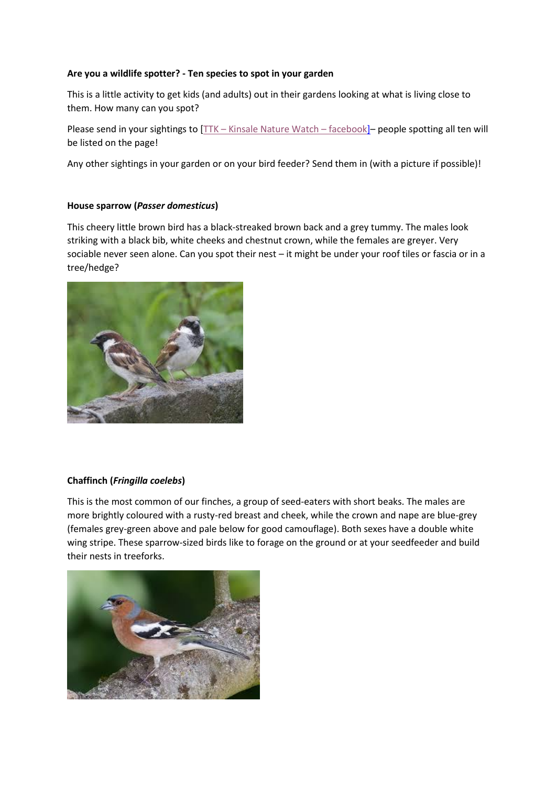# **Are you a wildlife spotter? - Ten species to spot in your garden**

This is a little activity to get kids (and adults) out in their gardens looking at what is living close to them. How many can you spot?

Please send in your sightings to [TTK – [Kinsale Nature Watch](https://www.facebook.com/groups/2704457982996040/about/) – facebook]– people spotting all ten will be listed on the page!

Any other sightings in your garden or on your bird feeder? Send them in (with a picture if possible)!

## **House sparrow (***Passer domesticus***)**

This cheery little brown bird has a black-streaked brown back and a grey tummy. The males look striking with a black bib, white cheeks and chestnut crown, while the females are greyer. Very sociable never seen alone. Can you spot their nest – it might be under your roof tiles or fascia or in a tree/hedge?



#### **Chaffinch (***Fringilla coelebs***)**

This is the most common of our finches, a group of seed-eaters with short beaks. The males are more brightly coloured with a rusty-red breast and cheek, while the crown and nape are blue-grey (females grey-green above and pale below for good camouflage). Both sexes have a double white wing stripe. These sparrow-sized birds like to forage on the ground or at your seedfeeder and build their nests in treeforks.

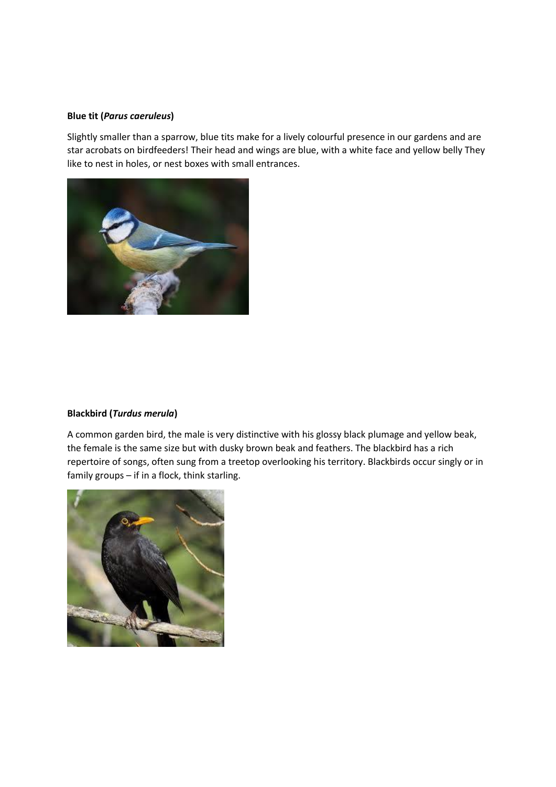### **Blue tit (***Parus caeruleus***)**

Slightly smaller than a sparrow, blue tits make for a lively colourful presence in our gardens and are star acrobats on birdfeeders! Their head and wings are blue, with a white face and yellow belly They like to nest in holes, or nest boxes with small entrances.



#### **Blackbird (***Turdus merula***)**

A common garden bird, the male is very distinctive with his glossy black plumage and yellow beak, the female is the same size but with dusky brown beak and feathers. The blackbird has a rich repertoire of songs, often sung from a treetop overlooking his territory. Blackbirds occur singly or in family groups – if in a flock, think starling.

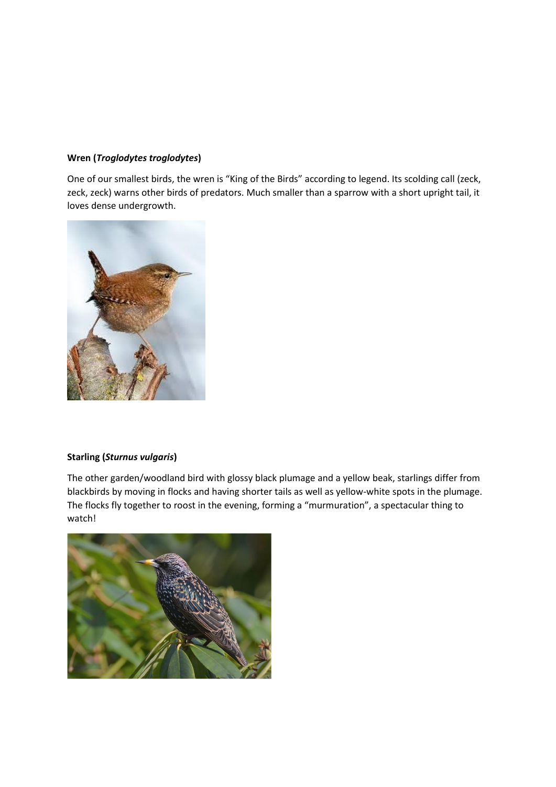# **Wren (***Troglodytes troglodytes***)**

One of our smallest birds, the wren is "King of the Birds" according to legend. Its scolding call (zeck, zeck, zeck) warns other birds of predators. Much smaller than a sparrow with a short upright tail, it loves dense undergrowth.



#### **Starling (***Sturnus vulgaris***)**

The other garden/woodland bird with glossy black plumage and a yellow beak, starlings differ from blackbirds by moving in flocks and having shorter tails as well as yellow-white spots in the plumage. The flocks fly together to roost in the evening, forming a "murmuration", a spectacular thing to watch!

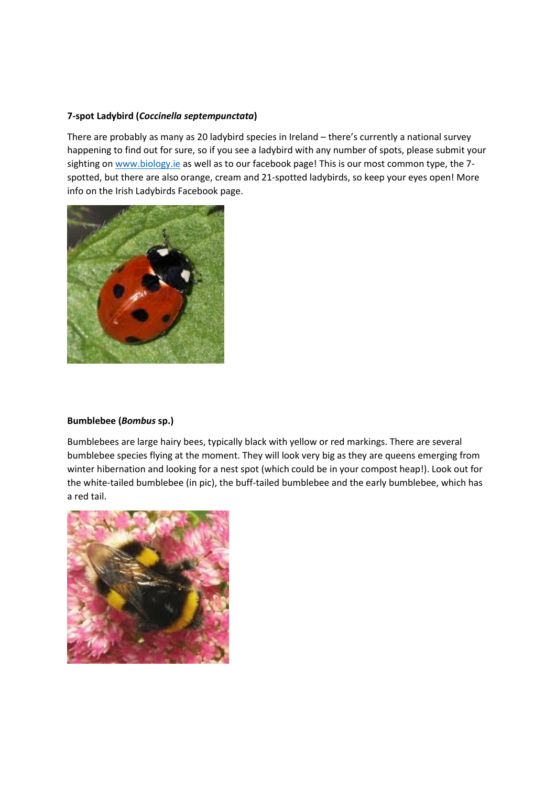## **7-spot Ladybird (***Coccinella septempunctata***)**

There are probably as many as 20 ladybird species in Ireland – there's currently a national survey happening to find out for sure, so if you see a ladybird with any number of spots, please submit your sighting o[n www.biology.ie](http://www.biology.ie/) as well as to our facebook page! This is our most common type, the 7spotted, but there are also orange, cream and 21-spotted ladybirds, so keep your eyes open! More info on the Irish Ladybirds Facebook page.



## **Bumblebee (***Bombus* **sp.)**

Bumblebees are large hairy bees, typically black with yellow or red markings. There are several bumblebee species flying at the moment. They will look very big as they are queens emerging from winter hibernation and looking for a nest spot (which could be in your compost heap!). Look out for the white-tailed bumblebee (in pic), the buff-tailed bumblebee and the early bumblebee, which has a red tail.